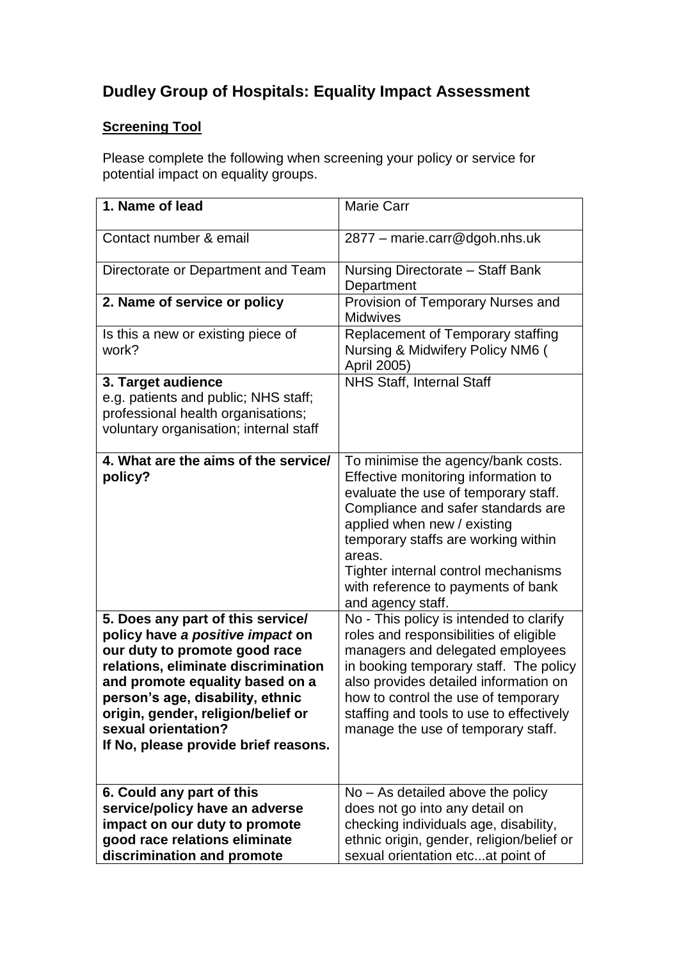# **Dudley Group of Hospitals: Equality Impact Assessment**

# **Screening Tool**

Please complete the following when screening your policy or service for potential impact on equality groups.

| 1. Name of lead                                                                                                                                                                                                                                                                                                           | <b>Marie Carr</b>                                                                                                                                                                                                                                                                                                                         |
|---------------------------------------------------------------------------------------------------------------------------------------------------------------------------------------------------------------------------------------------------------------------------------------------------------------------------|-------------------------------------------------------------------------------------------------------------------------------------------------------------------------------------------------------------------------------------------------------------------------------------------------------------------------------------------|
| Contact number & email                                                                                                                                                                                                                                                                                                    | 2877 - marie.carr@dgoh.nhs.uk                                                                                                                                                                                                                                                                                                             |
| Directorate or Department and Team                                                                                                                                                                                                                                                                                        | Nursing Directorate - Staff Bank<br>Department                                                                                                                                                                                                                                                                                            |
| 2. Name of service or policy                                                                                                                                                                                                                                                                                              | Provision of Temporary Nurses and<br><b>Midwives</b>                                                                                                                                                                                                                                                                                      |
| Is this a new or existing piece of<br>work?                                                                                                                                                                                                                                                                               | Replacement of Temporary staffing<br>Nursing & Midwifery Policy NM6 (<br>April 2005)                                                                                                                                                                                                                                                      |
| 3. Target audience<br>e.g. patients and public; NHS staff;<br>professional health organisations;<br>voluntary organisation; internal staff                                                                                                                                                                                | <b>NHS Staff, Internal Staff</b>                                                                                                                                                                                                                                                                                                          |
| 4. What are the aims of the service/<br>policy?                                                                                                                                                                                                                                                                           | To minimise the agency/bank costs.<br>Effective monitoring information to<br>evaluate the use of temporary staff.<br>Compliance and safer standards are<br>applied when new / existing<br>temporary staffs are working within<br>areas.<br>Tighter internal control mechanisms<br>with reference to payments of bank<br>and agency staff. |
| 5. Does any part of this service/<br>policy have a positive impact on<br>our duty to promote good race<br>relations, eliminate discrimination<br>and promote equality based on a<br>person's age, disability, ethnic<br>origin, gender, religion/belief or<br>sexual orientation?<br>If No, please provide brief reasons. | No - This policy is intended to clarify<br>roles and responsibilities of eligible<br>managers and delegated employees<br>in booking temporary staff. The policy<br>also provides detailed information on<br>how to control the use of temporary<br>staffing and tools to use to effectively<br>manage the use of temporary staff.         |
| 6. Could any part of this<br>service/policy have an adverse<br>impact on our duty to promote<br>good race relations eliminate<br>discrimination and promote                                                                                                                                                               | $No - As detailed above the policy$<br>does not go into any detail on<br>checking individuals age, disability,<br>ethnic origin, gender, religion/belief or<br>sexual orientation etcat point of                                                                                                                                          |